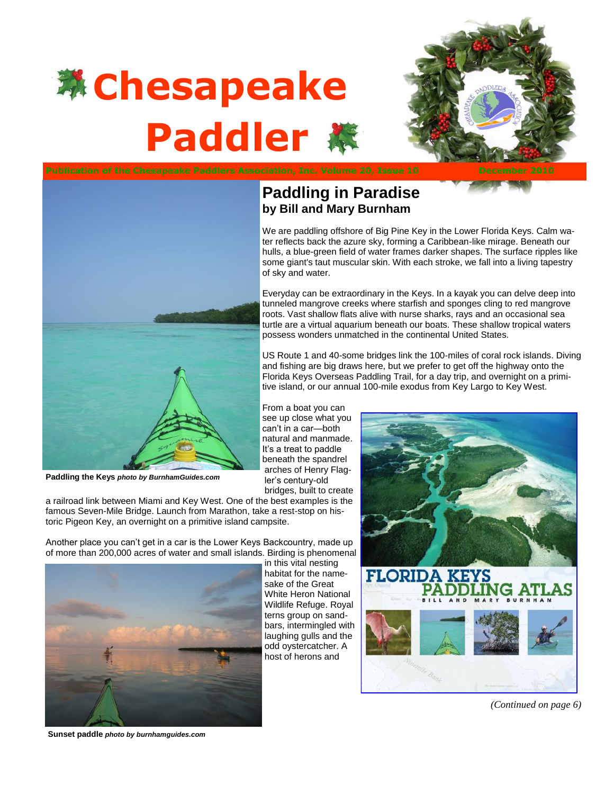

<span id="page-0-0"></span>



**Paddling the Keys** *photo by BurnhamGuides.com*

a railroad link between Miami and Key West. One of the best examples is the famous Seven-Mile Bridge. Launch from Marathon, take a rest-stop on historic Pigeon Key, an overnight on a primitive island campsite.

Another place you can't get in a car is the Lower Keys Backcountry, made up of more than 200,000 acres of water and small islands. Birding is phenomenal



in this vital nesting habitat for the namesake of the Great White Heron National Wildlife Refuge. Royal terns group on sandbars, intermingled with laughing gulls and the odd oystercatcher. A host of herons and

**Paddling in Paradise by Bill and Mary Burnham**

of sky and water.

From a boat you can see up close what you can't in a car—both natural and manmade. It's a treat to paddle beneath the spandrel arches of Henry Flagler's century-old bridges, built to create

We are paddling offshore of Big Pine Key in the Lower Florida Keys. Calm water reflects back the azure sky, forming a Caribbean-like mirage. Beneath our hulls, a blue-green field of water frames darker shapes. The surface ripples like some giant's taut muscular skin. With each stroke, we fall into a living tapestry

Everyday can be extraordinary in the Keys. In a kayak you can delve deep into tunneled mangrove creeks where starfish and sponges cling to red mangrove roots. Vast shallow flats alive with nurse sharks, rays and an occasional sea turtle are a virtual aquarium beneath our boats. These shallow tropical waters

US Route 1 and 40-some bridges link the 100-miles of coral rock islands. Diving and fishing are big draws here, but we prefer to get off the highway onto the Florida Keys Overseas Paddling Trail, for a day trip, and overnight on a primitive island, or our annual 100-mile exodus from Key Largo to Key West.

possess wonders unmatched in the continental United States.



*[\(Continued on page 6\)](#page-1-0)*

**Sunset paddle** *photo by burnhamguides.com*